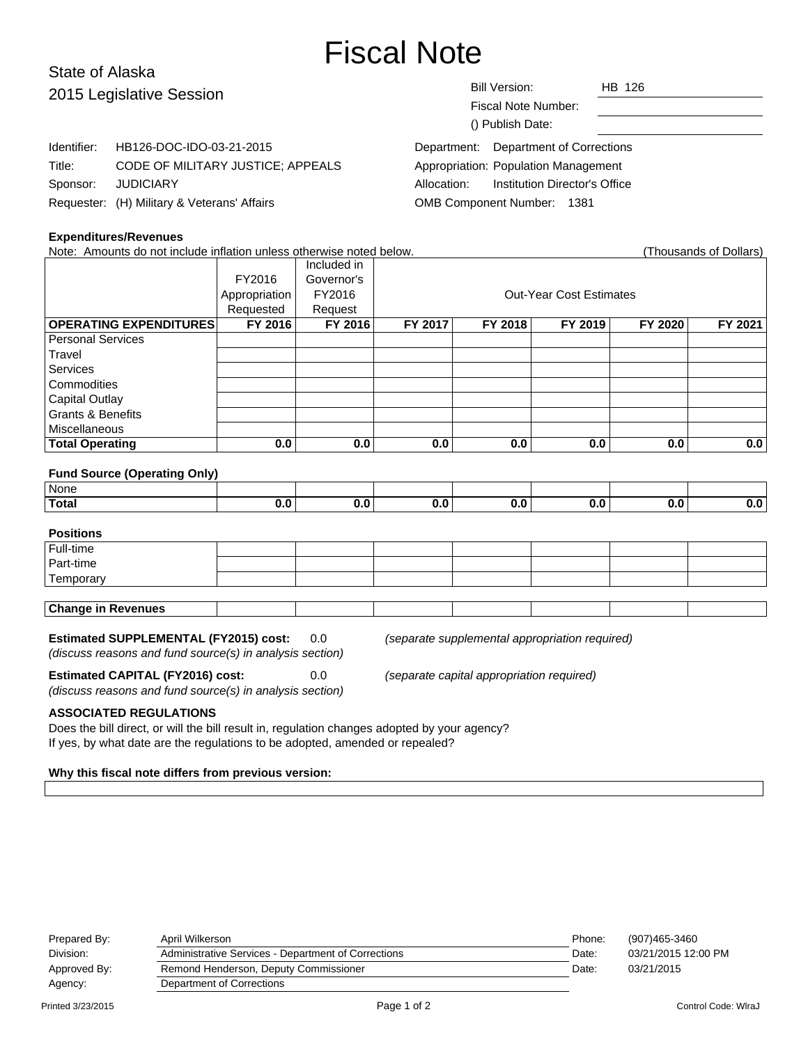# Fiscal Note

# State of Alaska 2015 Legislative Sess

| 2015 Legislative Session |                                             | HB 126<br>Bill Version:                      |
|--------------------------|---------------------------------------------|----------------------------------------------|
|                          |                                             | Fiscal Note Number:                          |
|                          |                                             | () Publish Date:                             |
| Identifier:              | HB126-DOC-IDO-03-21-2015                    | Department: Department of Corrections        |
| Title:                   | CODE OF MILITARY JUSTICE; APPEALS           | Appropriation: Population Management         |
| Sponsor:                 | <b>JUDICIARY</b>                            | Institution Director's Office<br>Allocation: |
|                          | Requester: (H) Military & Veterans' Affairs | OMB Component Number: 1381                   |

#### **Expenditures/Revenues**

Note: Amounts do not include inflation unless otherwise noted below. (Thousands of Dollars) Included in FY2016 Governor's Appropriation FY2016 | Research Cut-Year Cost Estimates Requested | Request **OPERATING EXPENDITURES FY 2016 FY 2016 FY 2017 FY 2018 FY 2019 FY 2020 FY 2021** Personal Services **Travel** Services **Commodities** Capital Outlay Grants & Benefits **Miscellaneous Total Operating 0.0 0.0 0.0 0.0 0.0 0.0 0.0**

#### **Fund Source (Operating Only)**

| None         |    |    |  |  |
|--------------|----|----|--|--|
| <b>Total</b> | -- | די |  |  |

### **Positions**

| Full-time                 |  |  |  |  |  |  |  |
|---------------------------|--|--|--|--|--|--|--|
| Part-time                 |  |  |  |  |  |  |  |
| Temporary                 |  |  |  |  |  |  |  |
|                           |  |  |  |  |  |  |  |
| <b>Change in Revenues</b> |  |  |  |  |  |  |  |

#### **Estimated SUPPLEMENTAL (FY2015) cost:** 0.0 (separate supplemental appropriation required)

(discuss reasons and fund source(s) in analysis section)

(discuss reasons and fund source(s) in analysis section)

**Estimated CAPITAL (FY2016) cost:** 0.0 (separate capital appropriation required)

#### **ASSOCIATED REGULATIONS**

Does the bill direct, or will the bill result in, regulation changes adopted by your agency? If yes, by what date are the regulations to be adopted, amended or repealed?

#### **Why this fiscal note differs from previous version:**

| Prepared By:<br>Division:            | April Wilkerson<br>Administrative Services - Department of Corrections | Phone:<br>Date: | (907)465-3460<br>03/21/2015 12:00 PM |
|--------------------------------------|------------------------------------------------------------------------|-----------------|--------------------------------------|
| Approved By:                         | Remond Henderson, Deputy Commissioner                                  | Date:           | 03/21/2015                           |
| Department of Corrections<br>Agency: |                                                                        |                 |                                      |
|                                      |                                                                        |                 |                                      |